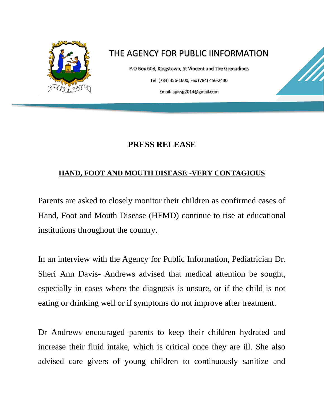

## THE AGENCY FOR PUBLIC IINFORMATION

P.O Box 608, Kingstown, St Vincent and The Grenadines Tel: (784) 456-1600, Fax (784) 456-2430 Email: apisvg2014@gmail.com

## **PRESS RELEASE**

## **HAND, FOOT AND MOUTH DISEASE -VERY CONTAGIOUS**

Parents are asked to closely monitor their children as confirmed cases of Hand, Foot and Mouth Disease (HFMD) continue to rise at educational institutions throughout the country.

In an interview with the Agency for Public Information, Pediatrician Dr. Sheri Ann Davis- Andrews advised that medical attention be sought, especially in cases where the diagnosis is unsure, or if the child is not eating or drinking well or if symptoms do not improve after treatment.

Dr Andrews encouraged parents to keep their children hydrated and increase their fluid intake, which is critical once they are ill. She also advised care givers of young children to continuously sanitize and